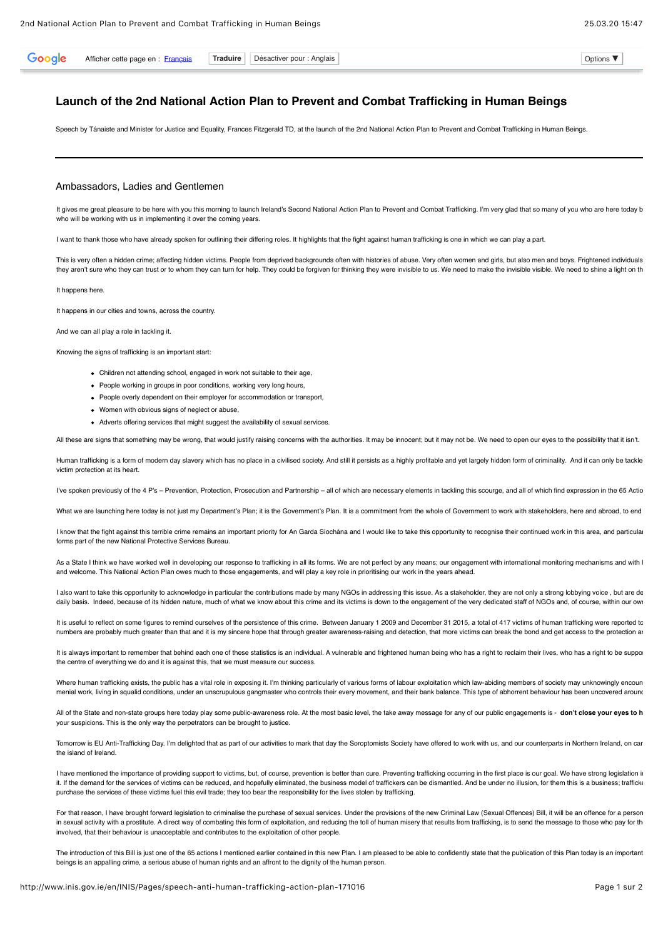Afficher cette page en : [Français](javascript:void(0)) **Traduire** Désactiver pour : Anglais **Desember 1996** Continuent of the Options ▼

## **Launch of the 2nd National Action Plan to Prevent and Combat Trafficking in Human Beings**

Speech by Tánaiste and Minister for Justice and Equality, Frances Fitzgerald TD, at the launch of the 2nd National Action Plan to Prevent and Combat Trafficking in Human Beings.

## Ambassadors, Ladies and Gentlemen

It gives me great pleasure to be here with you this morning to launch Ireland's Second National Action Plan to Prevent and Combat Trafficking. I'm very glad that so many of you who are here today b who will be working with us in implementing it over the coming years.

I want to thank those who have already spoken for outlining their differing roles. It highlights that the fight against human trafficking is one in which we can play a part.

This is very often a hidden crime; affecting hidden victims. People from deprived backgrounds often with histories of abuse. Very often women and girls, but also men and boys. Frightened individuals they aren't sure who they can trust or to whom they can turn for help. They could be forgiven for thinking they were invisible to us. We need to make the invisible visible. We need to shine a light on th

It happens here.

Google

It happens in our cities and towns, across the country.

And we can all play a role in tackling it.

Knowing the signs of trafficking is an important start:

- Children not attending school, engaged in work not suitable to their age,
- People working in groups in poor conditions, working very long hours,
- People overly dependent on their employer for accommodation or transport,
- Women with obvious signs of neglect or abuse,
- Adverts offering services that might suggest the availability of sexual services.

All these are signs that something may be wrong, that would justify raising concerns with the authorities. It may be innocent; but it may not be. We need to open our eyes to the possibility that it isn't.

Human trafficking is a form of modern day slavery which has no place in a civilised society. And still it persists as a highly profitable and yet largely hidden form of criminality. And it can only be tackle victim protection at its heart.

I've spoken previously of the 4 P's - Prevention, Protection, Prosecution and Partnership - all of which are necessary elements in tackling this scourge, and all of which find expression in the 65 Actio

What we are launching here today is not just my Department's Plan: it is the Government's Plan. It is a commitment from the whole of Government to work with stakeholders, here and abroad, to end

I know that the fight against this terrible crime remains an important priority for An Garda Siochána and I would like to take this opportunity to recognise their continued work in this area, and particular forms part of the new National Protective Services Bureau.

As a State I think we have worked well in developing our response to trafficking in all its forms. We are not perfect by any means; our engagement with international monitoring mechanisms and with I and welcome. This National Action Plan owes much to those engagements, and will play a key role in prioritising our work in the years ahead.

I also want to take this opportunity to acknowledge in particular the contributions made by many NGOs in addressing this issue. As a stakeholder, they are not only a strong lobbying voice, but are de daily basis. Indeed, because of its hidden nature, much of what we know about this crime and its victims is down to the engagement of the very dedicated staff of NGOs and, of course, within our ow

It is useful to reflect on some figures to remind ourselves of the persistence of this crime. Between January 1 2009 and December 31 2015, a total of 417 victims of human trafficking were reported to numbers are probably much greater than that and it is my sincere hope that through greater awareness-raising and detection, that more victims can break the bond and get access to the protection ar

It is always important to remember that behind each one of these statistics is an individual. A vulnerable and frightened human being who has a right to reclaim their lives, who has a right to be support the centre of everything we do and it is against this, that we must measure our success.

Where human trafficking exists, the public has a vital role in exposing it. I'm thinking particularly of various forms of labour exploitation which law-abiding members of society may unknowingly encoun menial work, living in squalid conditions, under an unscrupulous gangmaster who controls their every movement, and their bank balance. This type of abhorrent behaviour has been uncovered around

All of the State and non-state groups here today play some public-awareness role. At the most basic level, the take away message for any of our public engagements is - don't close your eyes to h your suspicions. This is the only way the perpetrators can be brought to justice.

Tomorrow is EU Anti-Trafficking Day. I'm delighted that as part of our activities to mark that day the Soroptomists Society have offered to work with us, and our counterparts in Northern Ireland, on car the island of Ireland.

I have mentioned the importance of providing support to victims, but, of course, prevention is better than cure. Preventing trafficking occurring in the first place is our goal. We have strong legislation in it. If the demand for the services of victims can be reduced, and hopefully eliminated, the business model of traffickers can be dismantled. And be under no illusion, for them this is a business; traffick purchase the services of these victims fuel this evil trade; they too bear the responsibility for the lives stolen by trafficking.

For that reason, I have brought forward legislation to criminalise the purchase of sexual services. Under the provisions of the new Criminal Law (Sexual Offences) Bill, it will be an offence for a person in sexual activity with a prostitute. A direct way of combating this form of exploitation, and reducing the toll of human misery that results from trafficking, is to send the message to those who pay for th involved, that their behaviour is unacceptable and contributes to the exploitation of other people.

The introduction of this Bill is iust one of the 65 actions I mentioned earlier contained in this new Plan. I am pleased to be able to confidently state that the publication of this Plan today is an important beings is an appalling crime, a serious abuse of human rights and an affront to the dignity of the human person.